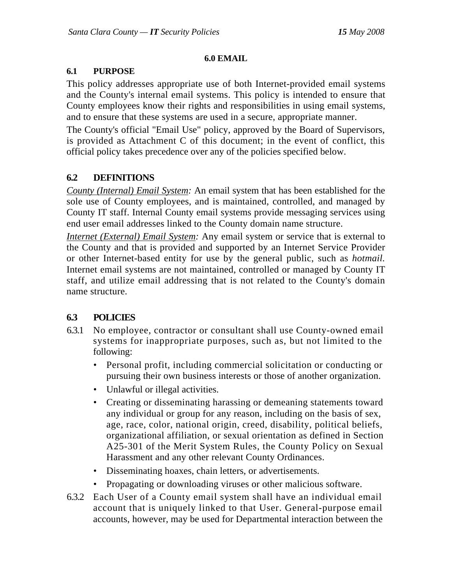### **6.0 EMAIL**

### **6.1 PURPOSE**

This policy addresses appropriate use of both Internet-provided email systems and the County's internal email systems. This policy is intended to ensure that County employees know their rights and responsibilities in using email systems, and to ensure that these systems are used in a secure, appropriate manner.

The County's official "Email Use" policy, approved by the Board of Supervisors, is provided as Attachment C of this document; in the event of conflict, this official policy takes precedence over any of the policies specified below.

# **6.2 DEFINITIONS**

*County (Internal) Email System:* An email system that has been established for the sole use of County employees, and is maintained, controlled, and managed by County IT staff. Internal County email systems provide messaging services using end user email addresses linked to the County domain name structure.

*Internet (External) Email System:* Any email system or service that is external to the County and that is provided and supported by an Internet Service Provider or other Internet-based entity for use by the general public, such as *hotmail.*  Internet email systems are not maintained, controlled or managed by County IT staff, and utilize email addressing that is not related to the County's domain name structure.

## **6.3 POLICIES**

- 6.3.1 No employee, contractor or consultant shall use County-owned email systems for inappropriate purposes, such as, but not limited to the following:
	- Personal profit, including commercial solicitation or conducting or pursuing their own business interests or those of another organization.
	- Unlawful or illegal activities.
	- Creating or disseminating harassing or demeaning statements toward any individual or group for any reason, including on the basis of sex, age, race, color, national origin, creed, disability, political beliefs, organizational affiliation, or sexual orientation as defined in Section A25-301 of the Merit System Rules, the County Policy on Sexual Harassment and any other relevant County Ordinances.
	- Disseminating hoaxes, chain letters, or advertisements.
	- Propagating or downloading viruses or other malicious software.
- 6.3.2 Each User of a County email system shall have an individual email account that is uniquely linked to that User. General-purpose email accounts, however, may be used for Departmental interaction between the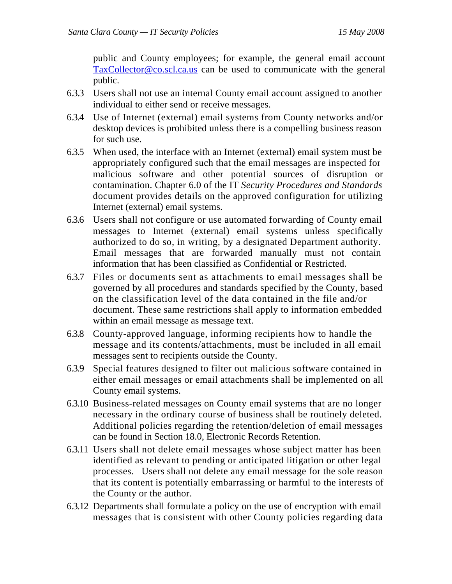public and County employees; for example, the general email account TaxCollector@co.scl.ca.us can be used to communicate with the general public.

- 6.3.3 Users shall not use an internal County email account assigned to another individual to either send or receive messages.
- 6.3.4 Use of Internet (external) email systems from County networks and/or desktop devices is prohibited unless there is a compelling business reason for such use.
- 6.3.5 When used, the interface with an Internet (external) email system must be appropriately configured such that the email messages are inspected for malicious software and other potential sources of disruption or contamination. Chapter 6.0 of the IT *Security Procedures and Standards*  document provides details on the approved configuration for utilizing Internet (external) email systems.
- 6.3.6 Users shall not configure or use automated forwarding of County email messages to Internet (external) email systems unless specifically authorized to do so, in writing, by a designated Department authority. Email messages that are forwarded manually must not contain information that has been classified as Confidential or Restricted.
- 6.3.7 Files or documents sent as attachments to email messages shall be governed by all procedures and standards specified by the County, based on the classification level of the data contained in the file and/or document. These same restrictions shall apply to information embedded within an email message as message text.
- 6.3.8 County-approved language, informing recipients how to handle the message and its contents/attachments, must be included in all email messages sent to recipients outside the County.
- 6.3.9 Special features designed to filter out malicious software contained in either email messages or email attachments shall be implemented on all County email systems.
- 6.3.10 Business-related messages on County email systems that are no longer necessary in the ordinary course of business shall be routinely deleted. Additional policies regarding the retention/deletion of email messages can be found in Section 18.0, Electronic Records Retention.
- 6.3.11 Users shall not delete email messages whose subject matter has been identified as relevant to pending or anticipated litigation or other legal processes. Users shall not delete any email message for the sole reason that its content is potentially embarrassing or harmful to the interests of the County or the author.
- 6.3.12 Departments shall formulate a policy on the use of encryption with email messages that is consistent with other County policies regarding data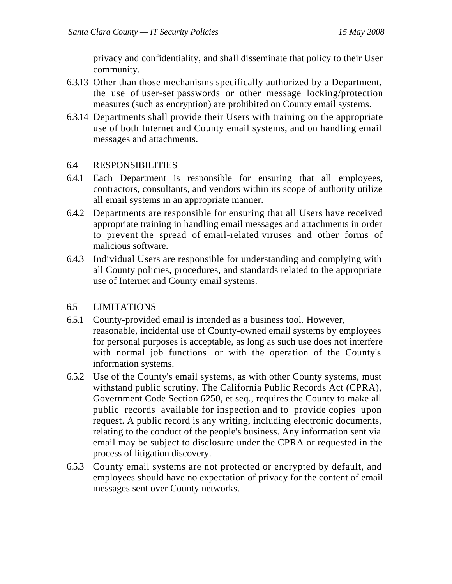privacy and confidentiality, and shall disseminate that policy to their User community.

- 6.3.13 Other than those mechanisms specifically authorized by a Department, the use of user-set passwords or other message locking/protection measures (such as encryption) are prohibited on County email systems.
- 6.3.14 Departments shall provide their Users with training on the appropriate use of both Internet and County email systems, and on handling email messages and attachments.

### 6.4 RESPONSIBILITIES

- 6.4.1 Each Department is responsible for ensuring that all employees, contractors, consultants, and vendors within its scope of authority utilize all email systems in an appropriate manner.
- 6.4.2 Departments are responsible for ensuring that all Users have received appropriate training in handling email messages and attachments in order to prevent the spread of email-related viruses and other forms of malicious software.
- 6.4.3 Individual Users are responsible for understanding and complying with all County policies, procedures, and standards related to the appropriate use of Internet and County email systems.

### 6.5 LIMITATIONS

- 6.5.1 County-provided email is intended as a business tool. However, reasonable, incidental use of County-owned email systems by employees for personal purposes is acceptable, as long as such use does not interfere with normal job functions or with the operation of the County's information systems.
- 6.5.2 Use of the County's email systems, as with other County systems, must withstand public scrutiny. The California Public Records Act (CPRA), Government Code Section 6250, et seq., requires the County to make all public records available for inspection and to provide copies upon request. A public record is any writing, including electronic documents, relating to the conduct of the people's business. Any information sent via email may be subject to disclosure under the CPRA or requested in the process of litigation discovery.
- 6.5.3 County email systems are not protected or encrypted by default, and employees should have no expectation of privacy for the content of email messages sent over County networks.